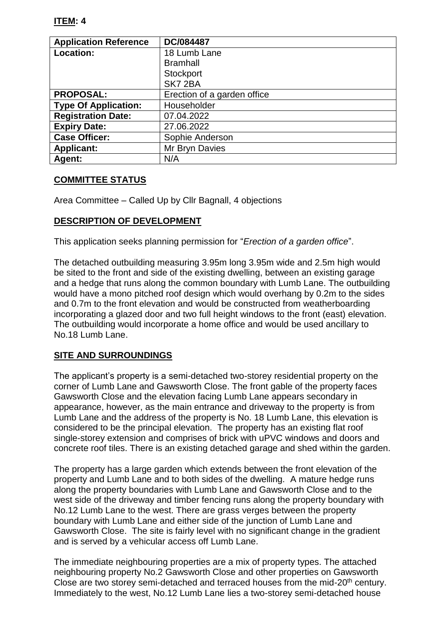#### **ITEM: 4**

| <b>Application Reference</b> | DC/084487                   |
|------------------------------|-----------------------------|
| Location:                    | 18 Lumb Lane                |
|                              | <b>Bramhall</b>             |
|                              | Stockport                   |
|                              | SK7 2BA                     |
| <b>PROPOSAL:</b>             | Erection of a garden office |
| <b>Type Of Application:</b>  | Householder                 |
| <b>Registration Date:</b>    | 07.04.2022                  |
| <b>Expiry Date:</b>          | 27.06.2022                  |
| <b>Case Officer:</b>         | Sophie Anderson             |
| <b>Applicant:</b>            | Mr Bryn Davies              |
| <b>Agent:</b>                | N/A                         |

### **COMMITTEE STATUS**

Area Committee – Called Up by Cllr Bagnall, 4 objections

### **DESCRIPTION OF DEVELOPMENT**

This application seeks planning permission for "*Erection of a garden office*".

The detached outbuilding measuring 3.95m long 3.95m wide and 2.5m high would be sited to the front and side of the existing dwelling, between an existing garage and a hedge that runs along the common boundary with Lumb Lane. The outbuilding would have a mono pitched roof design which would overhang by 0.2m to the sides and 0.7m to the front elevation and would be constructed from weatherboarding incorporating a glazed door and two full height windows to the front (east) elevation. The outbuilding would incorporate a home office and would be used ancillary to No.18 Lumb Lane.

#### **SITE AND SURROUNDINGS**

The applicant's property is a semi-detached two-storey residential property on the corner of Lumb Lane and Gawsworth Close. The front gable of the property faces Gawsworth Close and the elevation facing Lumb Lane appears secondary in appearance, however, as the main entrance and driveway to the property is from Lumb Lane and the address of the property is No. 18 Lumb Lane, this elevation is considered to be the principal elevation. The property has an existing flat roof single-storey extension and comprises of brick with uPVC windows and doors and concrete roof tiles. There is an existing detached garage and shed within the garden.

The property has a large garden which extends between the front elevation of the property and Lumb Lane and to both sides of the dwelling. A mature hedge runs along the property boundaries with Lumb Lane and Gawsworth Close and to the west side of the driveway and timber fencing runs along the property boundary with No.12 Lumb Lane to the west. There are grass verges between the property boundary with Lumb Lane and either side of the junction of Lumb Lane and Gawsworth Close. The site is fairly level with no significant change in the gradient and is served by a vehicular access off Lumb Lane.

The immediate neighbouring properties are a mix of property types. The attached neighbouring property No.2 Gawsworth Close and other properties on Gawsworth Close are two storey semi-detached and terraced houses from the mid-20<sup>th</sup> century. Immediately to the west, No.12 Lumb Lane lies a two-storey semi-detached house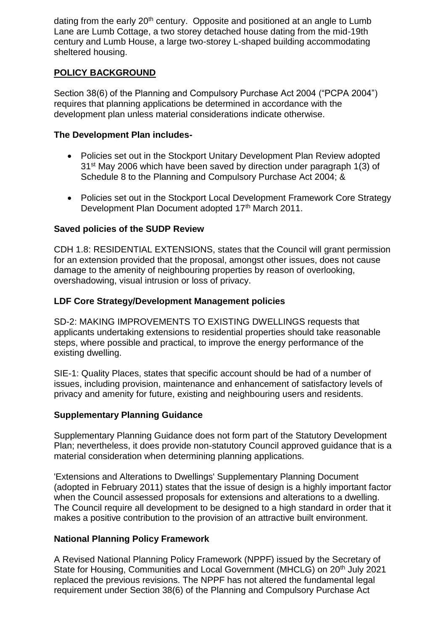dating from the early 20<sup>th</sup> century. Opposite and positioned at an angle to Lumb Lane are Lumb Cottage, a two storey detached house dating from the mid-19th century and Lumb House, a large two-storey L-shaped building accommodating sheltered housing.

# **POLICY BACKGROUND**

Section 38(6) of the Planning and Compulsory Purchase Act 2004 ("PCPA 2004") requires that planning applications be determined in accordance with the development plan unless material considerations indicate otherwise.

### **The Development Plan includes-**

- Policies set out in the Stockport Unitary Development Plan Review adopted 31st May 2006 which have been saved by direction under paragraph 1(3) of Schedule 8 to the Planning and Compulsory Purchase Act 2004; &
- Policies set out in the Stockport Local Development Framework Core Strategy Development Plan Document adopted 17<sup>th</sup> March 2011.

# **Saved policies of the SUDP Review**

CDH 1.8: RESIDENTIAL EXTENSIONS, states that the Council will grant permission for an extension provided that the proposal, amongst other issues, does not cause damage to the amenity of neighbouring properties by reason of overlooking, overshadowing, visual intrusion or loss of privacy.

# **LDF Core Strategy/Development Management policies**

SD-2: MAKING IMPROVEMENTS TO EXISTING DWELLINGS requests that applicants undertaking extensions to residential properties should take reasonable steps, where possible and practical, to improve the energy performance of the existing dwelling.

SIE-1: Quality Places, states that specific account should be had of a number of issues, including provision, maintenance and enhancement of satisfactory levels of privacy and amenity for future, existing and neighbouring users and residents.

# **Supplementary Planning Guidance**

Supplementary Planning Guidance does not form part of the Statutory Development Plan; nevertheless, it does provide non-statutory Council approved guidance that is a material consideration when determining planning applications.

'Extensions and Alterations to Dwellings' Supplementary Planning Document (adopted in February 2011) states that the issue of design is a highly important factor when the Council assessed proposals for extensions and alterations to a dwelling. The Council require all development to be designed to a high standard in order that it makes a positive contribution to the provision of an attractive built environment.

# **National Planning Policy Framework**

A Revised National Planning Policy Framework (NPPF) issued by the Secretary of State for Housing, Communities and Local Government (MHCLG) on 20<sup>th</sup> July 2021 replaced the previous revisions. The NPPF has not altered the fundamental legal requirement under Section 38(6) of the Planning and Compulsory Purchase Act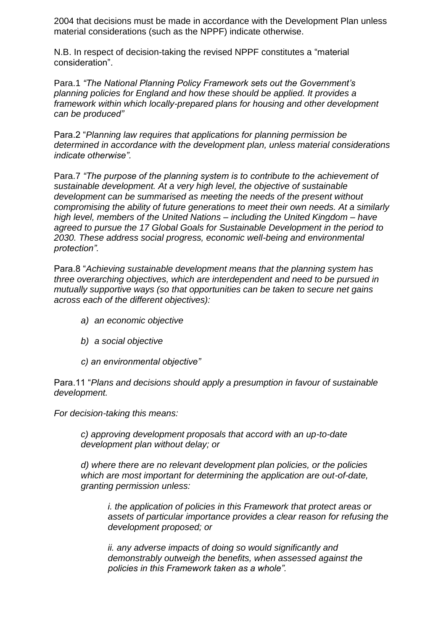2004 that decisions must be made in accordance with the Development Plan unless material considerations (such as the NPPF) indicate otherwise.

N.B. In respect of decision-taking the revised NPPF constitutes a "material consideration".

Para.1 *"The National Planning Policy Framework sets out the Government's planning policies for England and how these should be applied. It provides a framework within which locally-prepared plans for housing and other development can be produced"*

Para.2 "*Planning law requires that applications for planning permission be determined in accordance with the development plan, unless material considerations indicate otherwise".*

Para.7 *"The purpose of the planning system is to contribute to the achievement of sustainable development. At a very high level, the objective of sustainable development can be summarised as meeting the needs of the present without compromising the ability of future generations to meet their own needs. At a similarly high level, members of the United Nations – including the United Kingdom – have agreed to pursue the 17 Global Goals for Sustainable Development in the period to 2030. These address social progress, economic well-being and environmental protection".*

Para.8 "*Achieving sustainable development means that the planning system has three overarching objectives, which are interdependent and need to be pursued in mutually supportive ways (so that opportunities can be taken to secure net gains across each of the different objectives):*

- *a) an economic objective*
- *b) a social objective*
- *c) an environmental objective"*

Para.11 "*Plans and decisions should apply a presumption in favour of sustainable development.*

*For decision-taking this means:*

*c) approving development proposals that accord with an up-to-date development plan without delay; or*

*d) where there are no relevant development plan policies, or the policies which are most important for determining the application are out-of-date, granting permission unless:*

*i. the application of policies in this Framework that protect areas or assets of particular importance provides a clear reason for refusing the development proposed; or*

*ii. any adverse impacts of doing so would significantly and demonstrably outweigh the benefits, when assessed against the policies in this Framework taken as a whole".*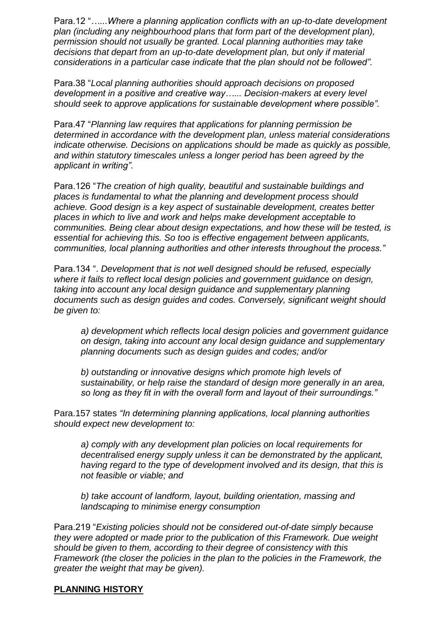Para.12 "*…...Where a planning application conflicts with an up-to-date development plan (including any neighbourhood plans that form part of the development plan), permission should not usually be granted. Local planning authorities may take decisions that depart from an up-to-date development plan, but only if material considerations in a particular case indicate that the plan should not be followed".*

Para.38 "*Local planning authorities should approach decisions on proposed development in a positive and creative way…... Decision-makers at every level should seek to approve applications for sustainable development where possible".*

Para.47 "*Planning law requires that applications for planning permission be determined in accordance with the development plan, unless material considerations indicate otherwise. Decisions on applications should be made as quickly as possible, and within statutory timescales unless a longer period has been agreed by the applicant in writing".*

Para.126 "*The creation of high quality, beautiful and sustainable buildings and places is fundamental to what the planning and development process should achieve. Good design is a key aspect of sustainable development, creates better places in which to live and work and helps make development acceptable to communities. Being clear about design expectations, and how these will be tested, is essential for achieving this. So too is effective engagement between applicants, communities, local planning authorities and other interests throughout the process."*

Para.134 ". *Development that is not well designed should be refused, especially where it fails to reflect local design policies and government guidance on design, taking into account any local design guidance and supplementary planning documents such as design guides and codes. Conversely, significant weight should be given to:* 

*a) development which reflects local design policies and government guidance on design, taking into account any local design guidance and supplementary planning documents such as design guides and codes; and/or*

*b) outstanding or innovative designs which promote high levels of sustainability, or help raise the standard of design more generally in an area, so long as they fit in with the overall form and layout of their surroundings."*

Para.157 states *"In determining planning applications, local planning authorities should expect new development to:* 

*a) comply with any development plan policies on local requirements for decentralised energy supply unless it can be demonstrated by the applicant, having regard to the type of development involved and its design, that this is not feasible or viable; and* 

*b) take account of landform, layout, building orientation, massing and landscaping to minimise energy consumption*

Para.219 "*Existing policies should not be considered out-of-date simply because they were adopted or made prior to the publication of this Framework. Due weight should be given to them, according to their degree of consistency with this Framework (the closer the policies in the plan to the policies in the Framework, the greater the weight that may be given).* 

#### **PLANNING HISTORY**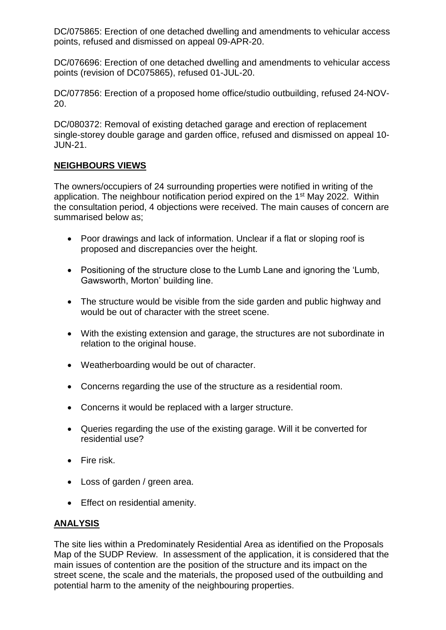DC/075865: Erection of one detached dwelling and amendments to vehicular access points, refused and dismissed on appeal 09-APR-20.

DC/076696: Erection of one detached dwelling and amendments to vehicular access points (revision of DC075865), refused 01-JUL-20.

DC/077856: Erection of a proposed home office/studio outbuilding, refused 24-NOV-20.

DC/080372: Removal of existing detached garage and erection of replacement single-storey double garage and garden office, refused and dismissed on appeal 10- JUN-21.

# **NEIGHBOURS VIEWS**

The owners/occupiers of 24 surrounding properties were notified in writing of the application. The neighbour notification period expired on the 1st May 2022. Within the consultation period, 4 objections were received. The main causes of concern are summarised below as;

- Poor drawings and lack of information. Unclear if a flat or sloping roof is proposed and discrepancies over the height.
- Positioning of the structure close to the Lumb Lane and ignoring the 'Lumb, Gawsworth, Morton' building line.
- The structure would be visible from the side garden and public highway and would be out of character with the street scene.
- With the existing extension and garage, the structures are not subordinate in relation to the original house.
- Weatherboarding would be out of character.
- Concerns regarding the use of the structure as a residential room.
- Concerns it would be replaced with a larger structure.
- Queries regarding the use of the existing garage. Will it be converted for residential use?
- Fire risk.
- Loss of garden / green area.
- Effect on residential amenity.

#### **ANALYSIS**

The site lies within a Predominately Residential Area as identified on the Proposals Map of the SUDP Review. In assessment of the application, it is considered that the main issues of contention are the position of the structure and its impact on the street scene, the scale and the materials, the proposed used of the outbuilding and potential harm to the amenity of the neighbouring properties.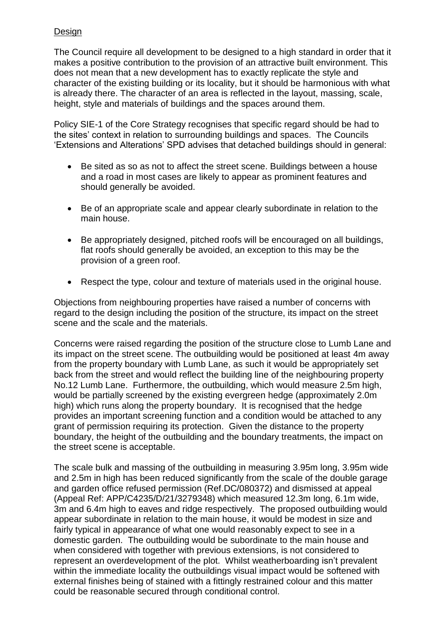### Design

The Council require all development to be designed to a high standard in order that it makes a positive contribution to the provision of an attractive built environment. This does not mean that a new development has to exactly replicate the style and character of the existing building or its locality, but it should be harmonious with what is already there. The character of an area is reflected in the layout, massing, scale, height, style and materials of buildings and the spaces around them.

Policy SIE-1 of the Core Strategy recognises that specific regard should be had to the sites' context in relation to surrounding buildings and spaces. The Councils 'Extensions and Alterations' SPD advises that detached buildings should in general:

- Be sited as so as not to affect the street scene. Buildings between a house and a road in most cases are likely to appear as prominent features and should generally be avoided.
- Be of an appropriate scale and appear clearly subordinate in relation to the main house.
- Be appropriately designed, pitched roofs will be encouraged on all buildings, flat roofs should generally be avoided, an exception to this may be the provision of a green roof.
- Respect the type, colour and texture of materials used in the original house.

Objections from neighbouring properties have raised a number of concerns with regard to the design including the position of the structure, its impact on the street scene and the scale and the materials.

Concerns were raised regarding the position of the structure close to Lumb Lane and its impact on the street scene. The outbuilding would be positioned at least 4m away from the property boundary with Lumb Lane, as such it would be appropriately set back from the street and would reflect the building line of the neighbouring property No.12 Lumb Lane. Furthermore, the outbuilding, which would measure 2.5m high, would be partially screened by the existing evergreen hedge (approximately 2.0m high) which runs along the property boundary. It is recognised that the hedge provides an important screening function and a condition would be attached to any grant of permission requiring its protection. Given the distance to the property boundary, the height of the outbuilding and the boundary treatments, the impact on the street scene is acceptable.

The scale bulk and massing of the outbuilding in measuring 3.95m long, 3.95m wide and 2.5m in high has been reduced significantly from the scale of the double garage and garden office refused permission (Ref.DC/080372) and dismissed at appeal (Appeal Ref: APP/C4235/D/21/3279348) which measured 12.3m long, 6.1m wide, 3m and 6.4m high to eaves and ridge respectively. The proposed outbuilding would appear subordinate in relation to the main house, it would be modest in size and fairly typical in appearance of what one would reasonably expect to see in a domestic garden. The outbuilding would be subordinate to the main house and when considered with together with previous extensions, is not considered to represent an overdevelopment of the plot. Whilst weatherboarding isn't prevalent within the immediate locality the outbuildings visual impact would be softened with external finishes being of stained with a fittingly restrained colour and this matter could be reasonable secured through conditional control.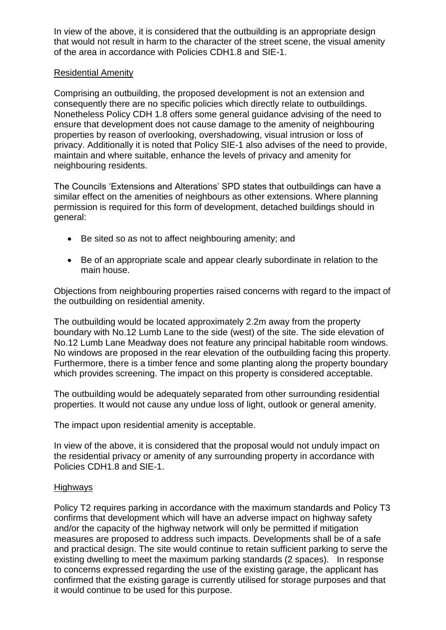In view of the above, it is considered that the outbuilding is an appropriate design that would not result in harm to the character of the street scene, the visual amenity of the area in accordance with Policies CDH1.8 and SIE-1.

#### Residential Amenity

Comprising an outbuilding, the proposed development is not an extension and consequently there are no specific policies which directly relate to outbuildings. Nonetheless Policy CDH 1.8 offers some general guidance advising of the need to ensure that development does not cause damage to the amenity of neighbouring properties by reason of overlooking, overshadowing, visual intrusion or loss of privacy. Additionally it is noted that Policy SIE-1 also advises of the need to provide, maintain and where suitable, enhance the levels of privacy and amenity for neighbouring residents.

The Councils 'Extensions and Alterations' SPD states that outbuildings can have a similar effect on the amenities of neighbours as other extensions. Where planning permission is required for this form of development, detached buildings should in general:

- Be sited so as not to affect neighbouring amenity; and
- Be of an appropriate scale and appear clearly subordinate in relation to the main house.

Objections from neighbouring properties raised concerns with regard to the impact of the outbuilding on residential amenity.

The outbuilding would be located approximately 2.2m away from the property boundary with No.12 Lumb Lane to the side (west) of the site. The side elevation of No.12 Lumb Lane Meadway does not feature any principal habitable room windows. No windows are proposed in the rear elevation of the outbuilding facing this property. Furthermore, there is a timber fence and some planting along the property boundary which provides screening. The impact on this property is considered acceptable.

The outbuilding would be adequately separated from other surrounding residential properties. It would not cause any undue loss of light, outlook or general amenity.

The impact upon residential amenity is acceptable.

In view of the above, it is considered that the proposal would not unduly impact on the residential privacy or amenity of any surrounding property in accordance with Policies CDH1.8 and SIE-1.

#### **Highways**

Policy T2 requires parking in accordance with the maximum standards and Policy T3 confirms that development which will have an adverse impact on highway safety and/or the capacity of the highway network will only be permitted if mitigation measures are proposed to address such impacts. Developments shall be of a safe and practical design. The site would continue to retain sufficient parking to serve the existing dwelling to meet the maximum parking standards (2 spaces). In response to concerns expressed regarding the use of the existing garage, the applicant has confirmed that the existing garage is currently utilised for storage purposes and that it would continue to be used for this purpose.